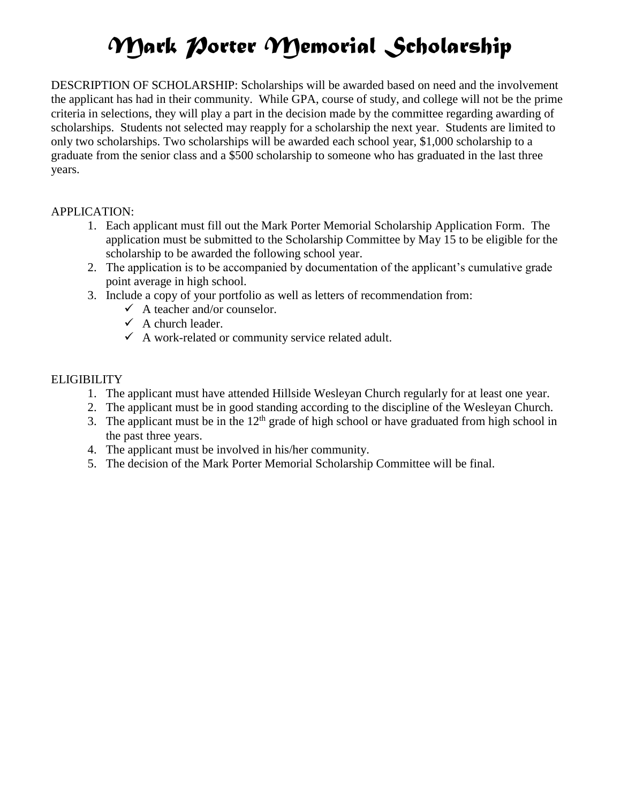# *Mark Porter Memorial Scholarship*

DESCRIPTION OF SCHOLARSHIP: Scholarships will be awarded based on need and the involvement the applicant has had in their community. While GPA, course of study, and college will not be the prime criteria in selections, they will play a part in the decision made by the committee regarding awarding of scholarships. Students not selected may reapply for a scholarship the next year. Students are limited to only two scholarships. Two scholarships will be awarded each school year, \$1,000 scholarship to a graduate from the senior class and a \$500 scholarship to someone who has graduated in the last three years.

#### APPLICATION:

- 1. Each applicant must fill out the Mark Porter Memorial Scholarship Application Form. The application must be submitted to the Scholarship Committee by May 15 to be eligible for the scholarship to be awarded the following school year.
- 2. The application is to be accompanied by documentation of the applicant's cumulative grade point average in high school.
- 3. Include a copy of your portfolio as well as letters of recommendation from:
	- $\checkmark$  A teacher and/or counselor.
	- $\checkmark$  A church leader.
	- $\checkmark$  A work-related or community service related adult.

#### **ELIGIBILITY**

- 1. The applicant must have attended Hillside Wesleyan Church regularly for at least one year.
- 2. The applicant must be in good standing according to the discipline of the Wesleyan Church.
- 3. The applicant must be in the  $12<sup>th</sup>$  grade of high school or have graduated from high school in the past three years.
- 4. The applicant must be involved in his/her community.
- 5. The decision of the Mark Porter Memorial Scholarship Committee will be final.